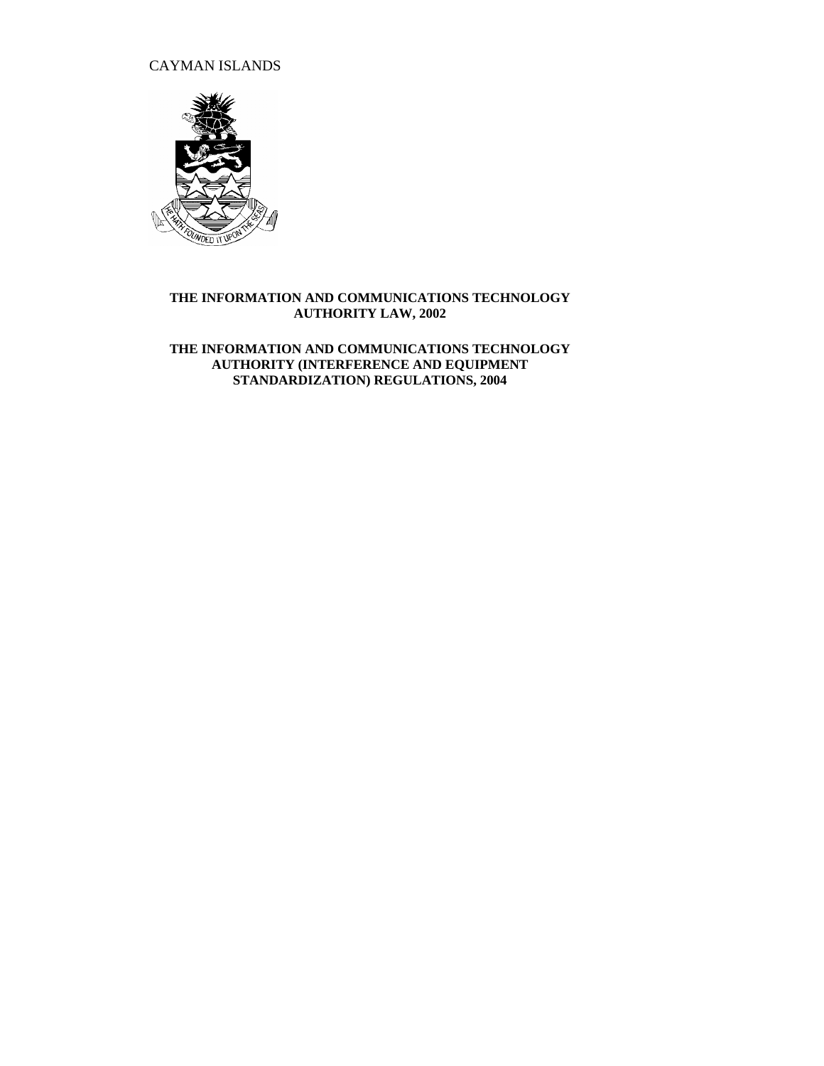CAYMAN ISLANDS



## **THE INFORMATION AND COMMUNICATIONS TECHNOLOGY AUTHORITY LAW, 2002**

**THE INFORMATION AND COMMUNICATIONS TECHNOLOGY AUTHORITY (INTERFERENCE AND EQUIPMENT STANDARDIZATION) REGULATIONS, 2004**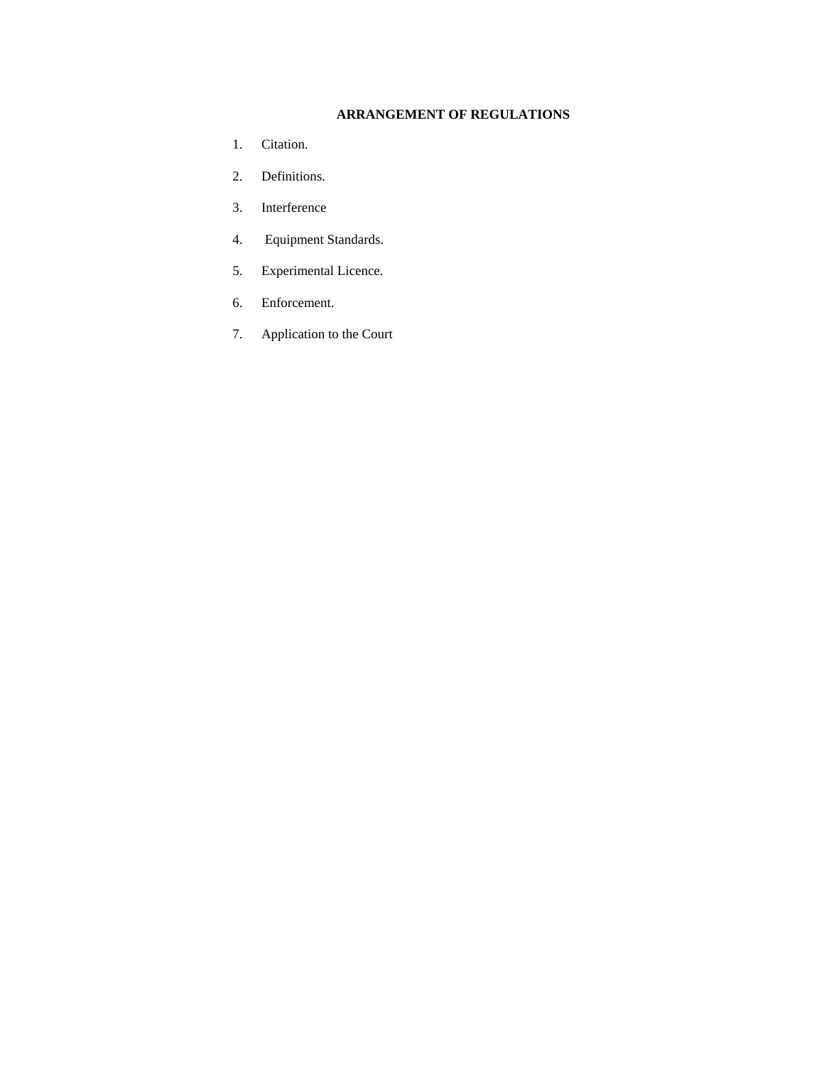## **ARRANGEMENT OF REGULATIONS**

- 1. Citation.
- 2. Definitions.
- 3. Interference
- 4. Equipment Standards.
- 5. Experimental Licence.
- 6. Enforcement.
- 7. Application to the Court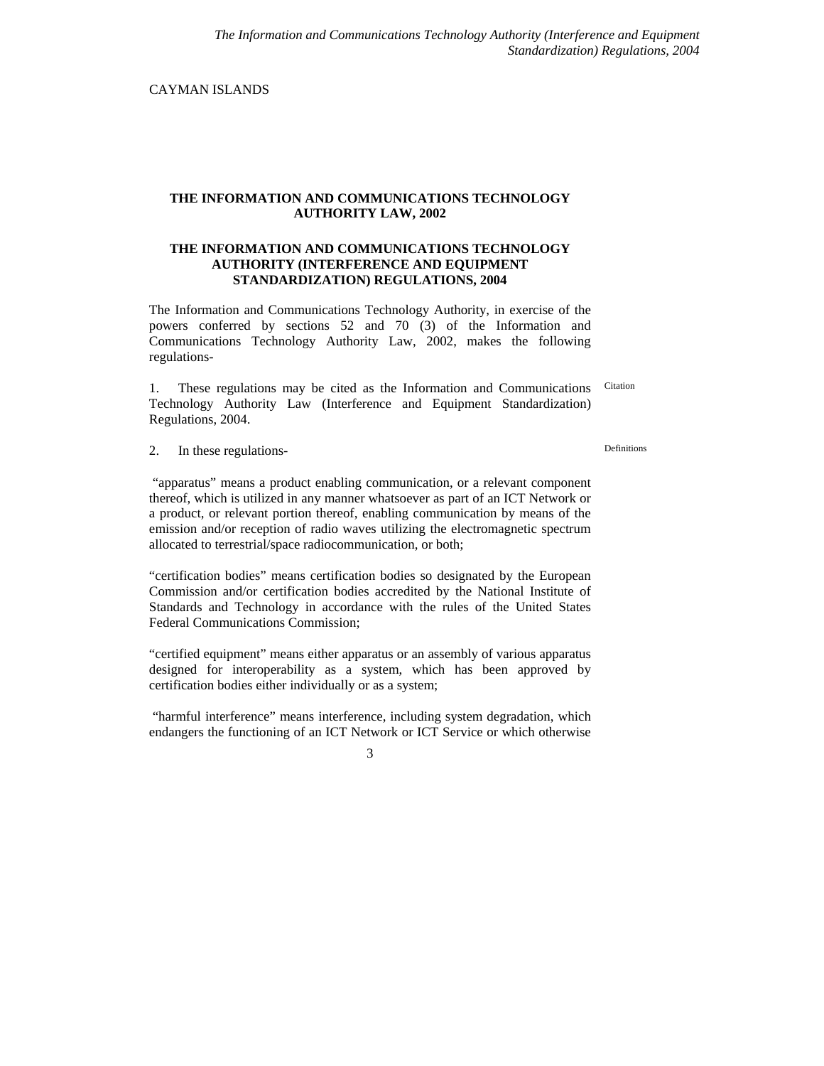CAYMAN ISLANDS

## **THE INFORMATION AND COMMUNICATIONS TECHNOLOGY AUTHORITY LAW, 2002**

## **THE INFORMATION AND COMMUNICATIONS TECHNOLOGY AUTHORITY (INTERFERENCE AND EQUIPMENT STANDARDIZATION) REGULATIONS, 2004**

The Information and Communications Technology Authority, in exercise of the powers conferred by sections 52 and 70 (3) of the Information and Communications Technology Authority Law, 2002, makes the following regulations-

1. These regulations may be cited as the Information and Communications Technology Authority Law (Interference and Equipment Standardization) Regulations, 2004. Citation

2. In these regulations-<br>
Definitions

"apparatus" means a product enabling communication, or a relevant component thereof, which is utilized in any manner whatsoever as part of an ICT Network or a product, or relevant portion thereof, enabling communication by means of the emission and/or reception of radio waves utilizing the electromagnetic spectrum allocated to terrestrial/space radiocommunication, or both;

"certification bodies" means certification bodies so designated by the European Commission and/or certification bodies accredited by the National Institute of Standards and Technology in accordance with the rules of the United States Federal Communications Commission;

"certified equipment" means either apparatus or an assembly of various apparatus designed for interoperability as a system, which has been approved by certification bodies either individually or as a system;

"harmful interference" means interference, including system degradation, which endangers the functioning of an ICT Network or ICT Service or which otherwise

3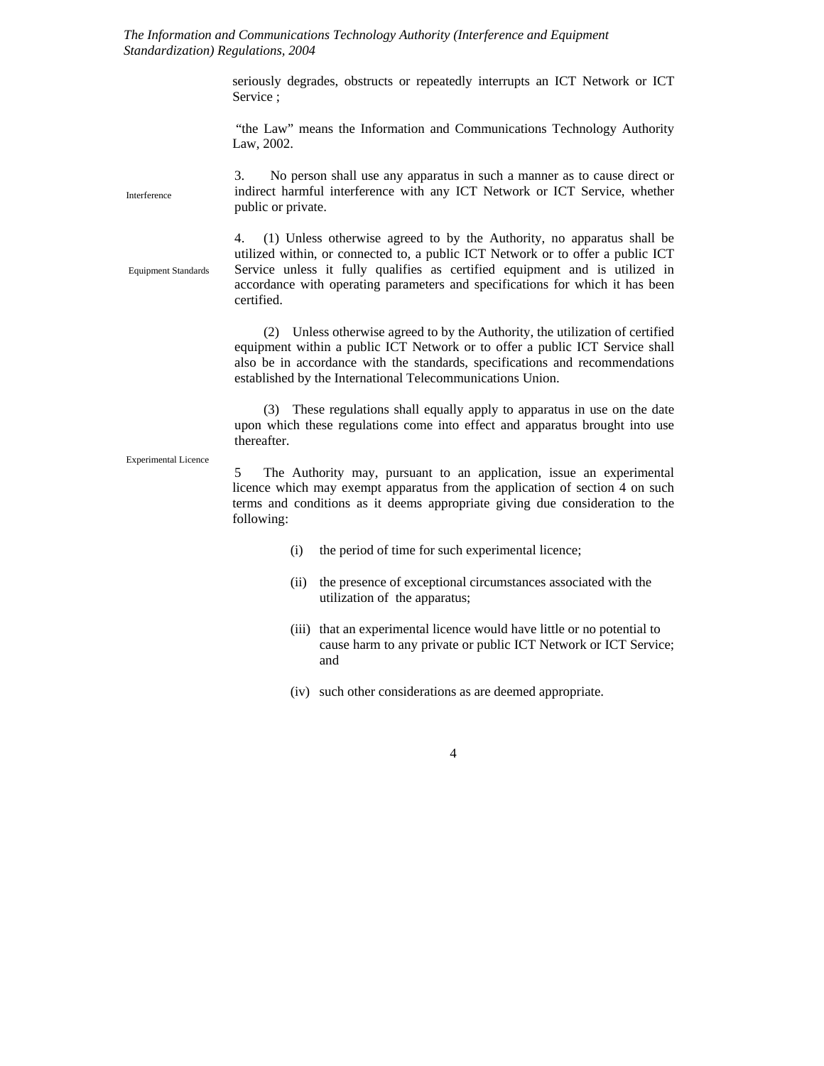*The Information and Communications Technology Authority (Interference and Equipment Standardization) Regulations, 2004*

> seriously degrades, obstructs or repeatedly interrupts an ICT Network or ICT Service ;

> "the Law" means the Information and Communications Technology Authority Law, 2002.

3. No person shall use any apparatus in such a manner as to cause direct or indirect harmful interference with any ICT Network or ICT Service, whether public or private. Interference

Equipment Standards

4. (1) Unless otherwise agreed to by the Authority, no apparatus shall be utilized within, or connected to, a public ICT Network or to offer a public ICT Service unless it fully qualifies as certified equipment and is utilized in accordance with operating parameters and specifications for which it has been certified.

(2) Unless otherwise agreed to by the Authority, the utilization of certified equipment within a public ICT Network or to offer a public ICT Service shall also be in accordance with the standards, specifications and recommendations established by the International Telecommunications Union.

(3) These regulations shall equally apply to apparatus in use on the date upon which these regulations come into effect and apparatus brought into use thereafter.

Experimental Licence

5 The Authority may, pursuant to an application, issue an experimental licence which may exempt apparatus from the application of section 4 on such terms and conditions as it deems appropriate giving due consideration to the following:

- (i) the period of time for such experimental licence;
- (ii) the presence of exceptional circumstances associated with the utilization of the apparatus;
- (iii) that an experimental licence would have little or no potential to cause harm to any private or public ICT Network or ICT Service; and
- (iv) such other considerations as are deemed appropriate.

4